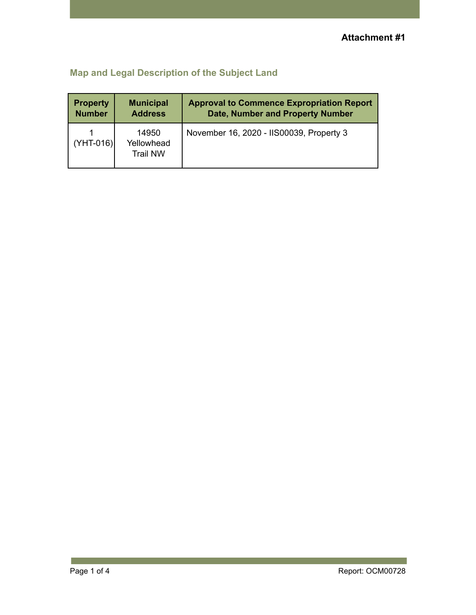## **Map and Legal Description of the Subject Land**

| <b>Property</b> | <b>Municipal</b>                       | <b>Approval to Commence Expropriation Report</b> |
|-----------------|----------------------------------------|--------------------------------------------------|
| <b>Number</b>   | <b>Address</b>                         | <b>Date, Number and Property Number</b>          |
| $(YHT-016)$     | 14950<br>Yellowhead<br><b>Trail NW</b> | November 16, 2020 - IIS00039, Property 3         |

p.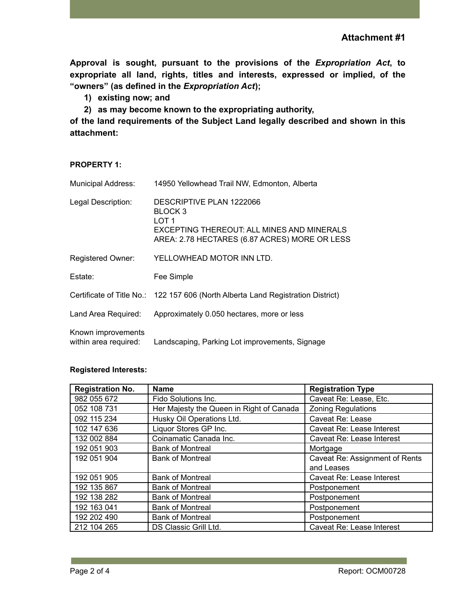**Attachment #1**

**Approval is sought, pursuant to the provisions of the** *Expropriation Act***, to expropriate all land, rights, titles and interests, expressed or implied, of the "owners" (as defined in the** *Expropriation Act***);**

**1) existing now; and**

**2) as may become known to the expropriating authority,**

**of the land requirements of the Subject Land legally described and shown in this attachment:**

## **PROPERTY 1:**

| <b>Municipal Address:</b>                   | 14950 Yellowhead Trail NW, Edmonton, Alberta                                                                                                |
|---------------------------------------------|---------------------------------------------------------------------------------------------------------------------------------------------|
| Legal Description:                          | DESCRIPTIVE PLAN 1222066<br>BLOCK 3<br>LOT 1<br>EXCEPTING THEREOUT: ALL MINES AND MINERALS<br>AREA: 2.78 HECTARES (6.87 ACRES) MORE OR LESS |
| <b>Registered Owner:</b>                    | YELLOWHEAD MOTOR INN LTD.                                                                                                                   |
| Estate:                                     | Fee Simple                                                                                                                                  |
|                                             | Certificate of Title No.: 122 157 606 (North Alberta Land Registration District)                                                            |
| Land Area Required:                         | Approximately 0.050 hectares, more or less                                                                                                  |
| Known improvements<br>within area required: | Landscaping, Parking Lot improvements, Signage                                                                                              |

## **Registered Interests:**

| <b>Registration No.</b> | <b>Name</b>                              | <b>Registration Type</b>       |
|-------------------------|------------------------------------------|--------------------------------|
| 982 055 672             | Fido Solutions Inc.                      | Caveat Re: Lease, Etc.         |
| 052 108 731             | Her Majesty the Queen in Right of Canada | <b>Zoning Regulations</b>      |
| 092 115 234             | Husky Oil Operations Ltd.                | Caveat Re: Lease               |
| 102 147 636             | Liquor Stores GP Inc.                    | Caveat Re: Lease Interest      |
| 132 002 884             | Coinamatic Canada Inc.                   | Caveat Re: Lease Interest      |
| 192 051 903             | <b>Bank of Montreal</b>                  | Mortgage                       |
| 192 051 904             | <b>Bank of Montreal</b>                  | Caveat Re: Assignment of Rents |
|                         |                                          | and Leases                     |
| 192 051 905             | <b>Bank of Montreal</b>                  | Caveat Re: Lease Interest      |
| 192 135 867             | <b>Bank of Montreal</b>                  | Postponement                   |
| 192 138 282             | <b>Bank of Montreal</b>                  | Postponement                   |
| 192 163 041             | <b>Bank of Montreal</b>                  | Postponement                   |
| 192 202 490             | <b>Bank of Montreal</b>                  | Postponement                   |
| 212 104 265             | DS Classic Grill Ltd.                    | Caveat Re: Lease Interest      |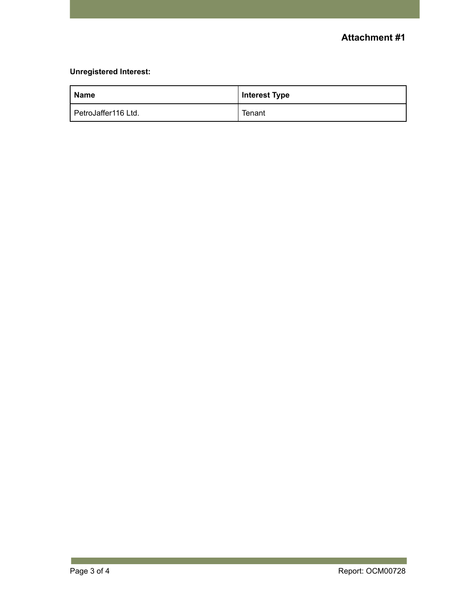## **Unregistered Interest:**

| <b>Name</b>         | <b>Interest Type</b> |
|---------------------|----------------------|
| PetroJaffer116 Ltd. | Tenant               |

**College**